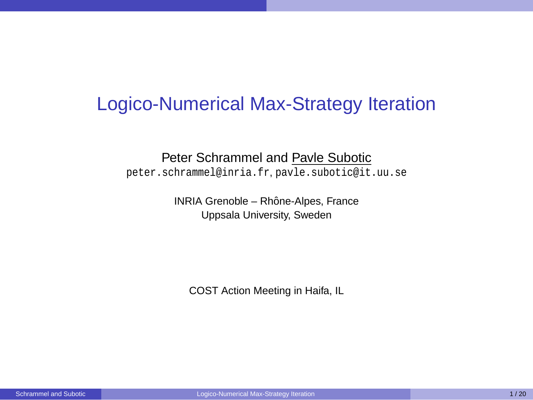### Logico-Numerical Max-Strategy Iteration

#### Peter Schrammel and Pavle Subotic

peter.schrammel@inria.fr, pavle.subotic@it.uu.se

INRIA Grenoble – Rhône-Alpes, France Uppsala University, Sweden

<span id="page-0-0"></span>COST Action Meeting in Haifa, IL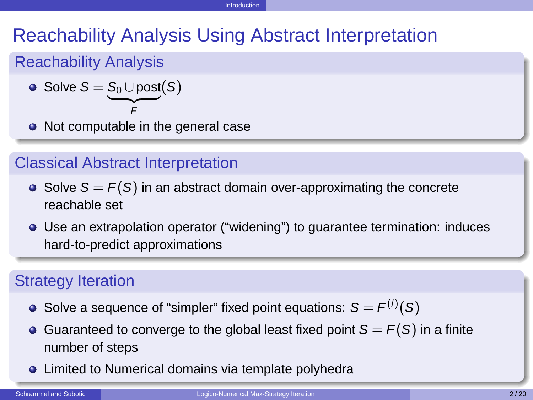#### [Introduction](#page-1-0)

# Reachability Analysis Using Abstract Interpretation

#### Reachability Analysis

• Solve 
$$
S = \underbrace{S_0 \cup \text{post}}_{F}(S)
$$

F • Not computable in the general case

#### Classical Abstract Interpretation

- Solve  $S = F(S)$  in an abstract domain over-approximating the concrete reachable set
- Use an extrapolation operator ("widening") to guarantee termination: induces hard-to-predict approximations

#### Strategy Iteration

- Solve a sequence of "simpler" fixed point equations:  $S = F^{(i)}(S)$
- Guaranteed to converge to the global least fixed point  $S = F(S)$  in a finite number of steps
- <span id="page-1-0"></span>**.** Limited to Numerical domains via template polyhedra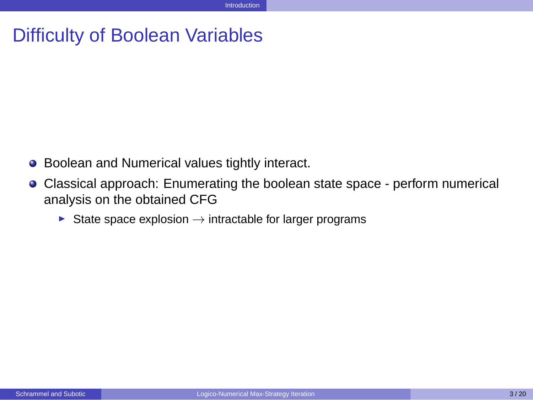### Difficulty of Boolean Variables

- Boolean and Numerical values tightly interact.  $\bullet$
- <span id="page-2-0"></span> $\bullet$ Classical approach: Enumerating the boolean state space - perform numerical analysis on the obtained CFG
	- $▶$  State space explosion  $\rightarrow$  intractable for larger programs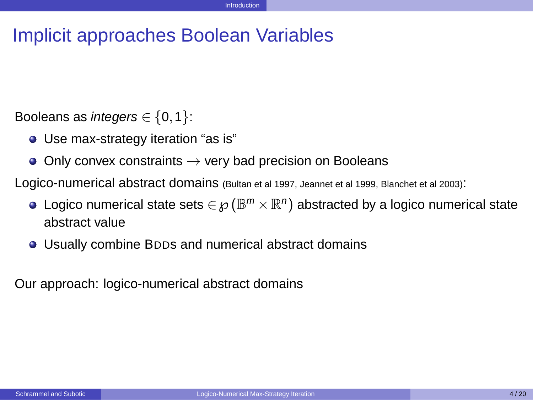## Implicit approaches Boolean Variables

Booleans as *integers*  $\in \{0, 1\}$ :

- Use max-strategy iteration "as is"
- Only convex constraints  $\rightarrow$  very bad precision on Booleans  $\bullet$

Logico-numerical abstract domains (Bultan et al 1997, Jeannet et al 1999, Blanchet et al 2003):

- Logico numerical state sets  $\in {\wp}(\mathbb{B}^{m} \times \mathbb{R}^{n})$  abstracted by a logico numerical state abstract value
- <span id="page-3-0"></span>Usually combine BDDs and numerical abstract domains

Our approach: logico-numerical abstract domains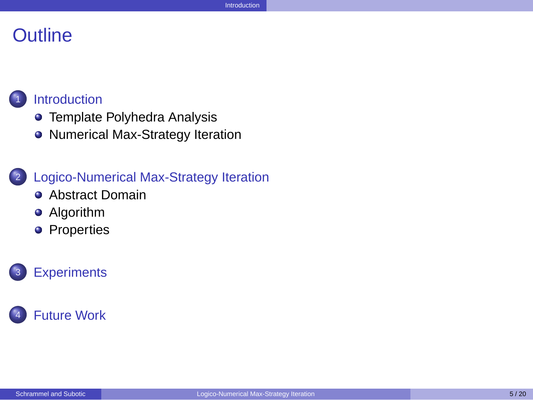#### **Outline**



#### **[Introduction](#page-1-0)**

- **[Template Polyhedra Analysis](#page-5-0)**
- [Numerical Max-Strategy Iteration](#page-6-0)

#### <sup>2</sup> [Logico-Numerical Max-Strategy Iteration](#page-15-0)

- **•** [Abstract Domain](#page-16-0)
- **•** [Algorithm](#page-17-0)
- <span id="page-4-0"></span>**•** [Properties](#page-34-0)



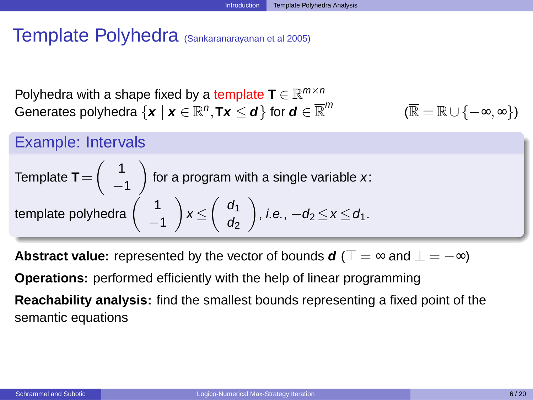# Template Polyhedra (Sankaranarayanan et al 2005)

Polyhedra with a shape fixed by a template  $\textbf{T} \in \mathbb{R}^{m \times n}$  $\mathbf{G}$ enerates polyhedra  $\{\mathbf{x} \mid \mathbf{x} \in \mathbb{R}^n, \mathsf{Tx} \leq \boldsymbol{d}\}$  for  $\boldsymbol{d} \in \overline{\mathbb{R}}^m$ 

<span id="page-5-0"></span>
$$
(\overline{\mathbb{R}}=\mathbb{R}\cup\{-\infty,\infty\})
$$

#### Example: Intervals

Template 
$$
T = \begin{pmatrix} 1 \\ -1 \end{pmatrix}
$$
 for a program with a single variable x:  
template polyhedra  $\begin{pmatrix} 1 \\ -1 \end{pmatrix}$   $x \le \begin{pmatrix} d_1 \\ d_2 \end{pmatrix}$ , *i.e.*,  $-d_2 \le x \le d_1$ .

**Abstract value:** represented by the vector of bounds  $d$  ( $\top = \infty$  and  $\bot = -\infty$ ) **Operations:** performed efficiently with the help of linear programming **Reachability analysis:** find the smallest bounds representing a fixed point of the semantic equations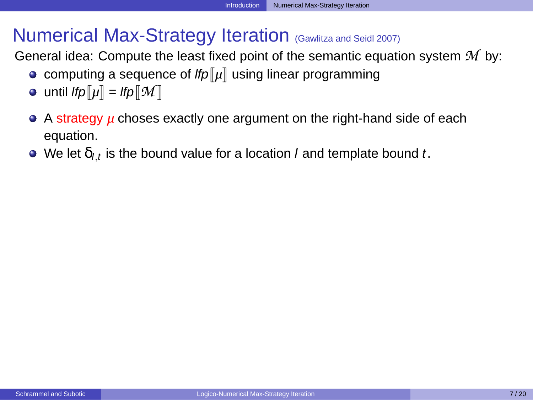## Numerical Max-Strategy Iteration (Gawlitza and Seidl 2007)

General idea: Compute the least fixed point of the semantic equation system *M* by:

- computing a sequence of  $f/p\|\mu\|$  using linear programming
- $\bullet$  until *lfp* $\llbracket \mu \rrbracket =$  *lfp* $\llbracket \mathcal{M} \rrbracket$
- A strategy *µ* choses exactly one argument on the right-hand side of each equation.
- <span id="page-6-0"></span>We let  $\delta_{l,t}$  is the bound value for a location *l* and template bound *t*.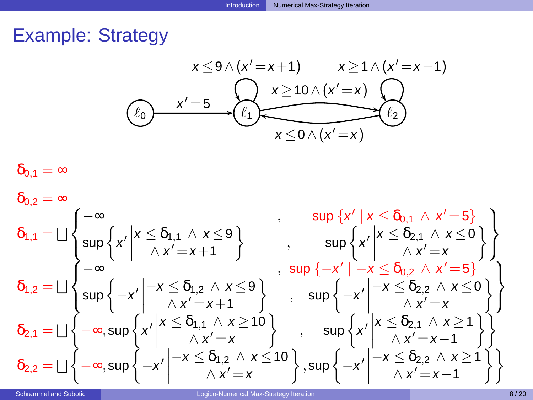# Example: Strategy

<span id="page-7-0"></span>
$$
x \leq 9 \land (x' = x+1) \qquad x \geq 1 \land (x' = x-1)
$$
\n
$$
(e_0)
$$
\n
$$
x' = 5
$$
\n
$$
(e_1)
$$
\n
$$
(e_2)
$$
\n
$$
(e_3)
$$
\n
$$
(e_4)
$$
\n
$$
(e_5)
$$
\n
$$
(e_6)
$$
\n
$$
(e_1)
$$
\n
$$
(e_2)
$$
\n
$$
(e_3)
$$
\n
$$
(e_4)
$$
\n
$$
(e_5)
$$
\n
$$
(e_6)
$$
\n
$$
(e_7)
$$
\n
$$
(e_8)
$$
\n
$$
(e_9)
$$
\n
$$
(e_2)
$$

$$
\delta_{0,1}=\infty
$$

$$
\begin{array}{ll}\delta_{0,2}=\infty\cr\delta_{1,1}=\bigsqcup\left\{\begin{matrix}-\infty\cr\sup\left\{x'\;\middle|\; x\leq\delta_{1,1}\wedge\; x\leq 9\right\}\cr-\infty\cr\sum_{1,2}=\bigsqcup\left\{\begin{matrix}-\infty\cr-\infty\cr-\infty\cr\sup\left\{-x'\;\middle|\; -x\leq\delta_{1,2}\wedge\; x\leq 9\right\}\cr-\infty\cr\sum_{1,3}=\bigsqcup\left\{-x'\;\middle|\; -x\leq\delta_{1,2}\wedge\; x\leq 9\cr\sum_{1,4}=\bigsqcup\left\{-x\;\middle|\; x\leq\delta_{1,2}\wedge\; x\leq 9\right\}\cr-\infty\cr\sum_{1,5}=\bigsqcup\left\{-\infty\cr-\infty\cr\sum_{1,6}=\bigsqcup\left\{-\infty\cr-\infty\cr-\infty\cr\sum_{1,7}=\bigsqcup\left\{-x\;\middle|\; x\leq\delta_{1,1}\wedge\; x\geq 10\right\}\cr-\infty\cr\sum_{1,7}=\bigsqcup\left\{-x\;\middle|\; -x\leq\delta_{1,2}\wedge\; x\leq 10\cr\sum_{1,7}=\bigsqcup\left\{-x\;\middle|\; x\leq\delta_{1,2}\wedge\; x\leq 10\right\}\cr-\infty\cr\sum_{1,7}=\bigsqcup\left\{-x\;\middle|\; -x\leq\delta_{1,2}\wedge\; x\leq 10\right\}\cr\end{array}\right\}\right\}\end{array}
$$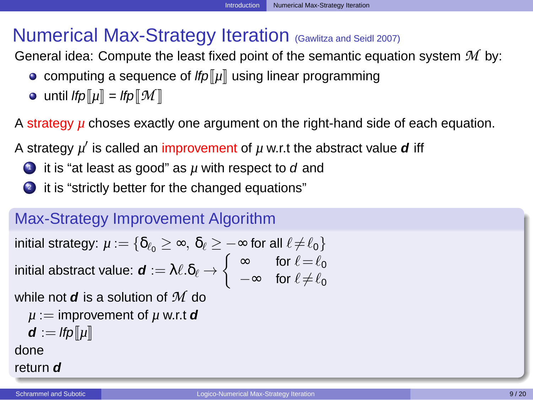# Numerical Max-Strategy Iteration (Gawlitza and Seidl 2007)

General idea: Compute the least fixed point of the semantic equation system *M* by:

- computing a sequence of  $lfp\lbrack \lbrack \mu \rbrack$  using linear programming
- $\bullet$  until *lfp* $\llbracket \mu \rrbracket =$  *lfp* $\llbracket \mathcal{M} \rrbracket$

A strategy  $\mu$  choses exactly one argument on the right-hand side of each equation.

A strategy  $\mu'$  is called an improvement of  $\mu$  w.r.t the abstract value **d** iff

- **D** it is "at least as good" as  $\mu$  with respect to  $d$  and
- 2 it is "strictly better for the changed equations"

#### Max-Strategy Improvement Algorithm

$$
\text{initial strategy: } \mu := \{ \delta_{\ell_0} \geq \infty, \ \delta_{\ell} \geq -\infty \text{ for all } \ell \neq \ell_0 \} \\ \text{initial abstract value: } \textbf{\textit{d}} := \lambda \ell.\delta_{\ell} \rightarrow \left\{ \begin{array}{ll} \infty & \text{for } \ell = \ell_0 \\ -\infty & \text{for } \ell \neq \ell_0 \end{array} \right.
$$

while not **d** is a solution of *M* do

$$
\mu := \text{improvement of } \mu \text{ w.r.t } \mathbf{d}
$$

<span id="page-8-0"></span>
$$
\mathbf{d} := \mathit{lfp}[\![\mu]\!]
$$

done

#### return **d**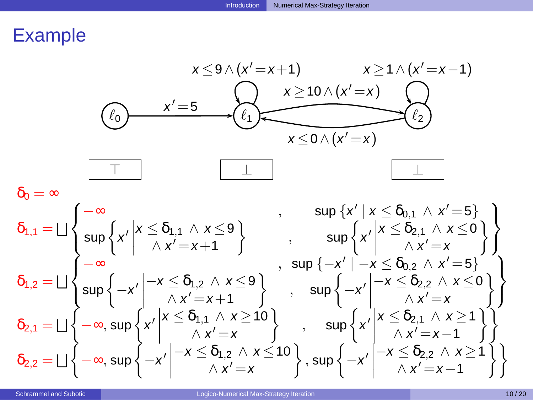

<span id="page-9-0"></span>
$$
\begin{array}{ll}\delta_{0}=\infty &\text{sup}\left\{x^{\prime}\bigm| x\leq \delta_{1,1}\wedge x\leq 9\right\}\\&\text{sup}\left\{x^{\prime}\bigm| x\leq \delta_{1,1}\wedge x\leq 9\right\}\\&\delta_{1,2}=\bigsqcup\left\{\begin{array}{ll}-\infty &\text{sup}\left\{x^{\prime}\bigm| x\leq \delta_{0,1}\wedge x^{\prime}=5\right\}\\&-\infty &\text{sup}\left\{x^{\prime}\bigm| x\leq \delta_{2,1}\wedge x\leq 0\right\}\\&\text{sup}\left\{-x^{\prime}\bigm| -x\leq \delta_{1,2}\wedge x\leq 9\right\}\\&\text{sup}\left\{-x^{\prime}\bigm| x\leq \delta_{1,2}\wedge x\leq 9\right\}\\&\text{sup}\left\{-x^{\prime}\bigm| x\leq \delta_{2,2}\wedge x^{\prime}=5\right\}\\&\delta_{2,1}=\bigsqcup\left\{-\infty,\text{sup}\left\{x^{\prime}\bigm| x\leq \delta_{1,1}\wedge x\geq 10\right\}\\&\text{sup}\left\{x^{\prime}\bigm| x\leq \delta_{1,2}\wedge x\leq 10\right\}\\&\delta_{2,2}=\bigsqcup\left\{-\infty,\text{sup}\left\{-x^{\prime}\bigm| -x\leq \delta_{1,2}\wedge x\leq 10\right\}\\&\text{sup}\left\{-x^{\prime}\bigm| x\leq \delta_{2,2}\wedge x\geq 1\right\}\\&\delta_{2,3}=\bigsqcup\left\{-\infty,\text{sup}\left\{-x^{\prime}\bigm| x\leq \delta_{1,2}\wedge x\leq 10\right\}\\&\text{sup}\left\{-x^{\prime}\bigm| x\leq \delta_{2,2}\wedge x\geq 1\right\}\\&\text{sup}\left\{-x^{\prime}\bigm| x\leq \delta_{2,2}\wedge x\geq 1\right\}\end{array}\right\}\end{array}
$$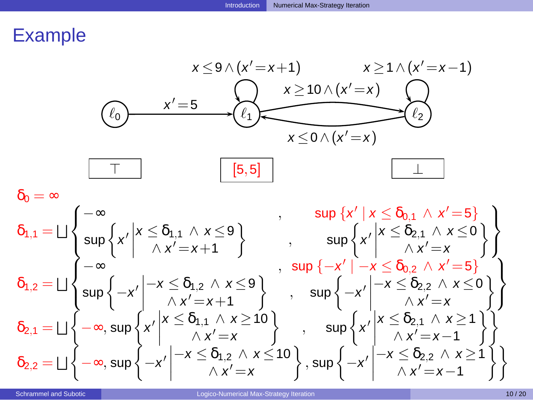

<span id="page-10-0"></span> $\delta_0 = \infty$  $\delta_{1,1} = \bigsqcup$  $\sqrt{ }$ J  $\mathcal{L}$  $-\infty$  , sup {x' | x ≤ δ<sub>0,1</sub> ∧ x' = 5}  $\sup\bigg\{x'\bigg|$  $x \leq \delta_{1,1} \wedge x \leq 9$  $\wedge x' = x + 1$  $\}$ ,  $\sup \left\{ x' \right\}$  $x \leq \delta_{2,1} \wedge x \leq 0$  $\wedge x'=x$  $\mathcal{L}$  $\mathcal{L}$  $\mathcal{L}$  $\mathsf{I}$  $\delta_{1,2} = \bigsqcup$  $\bigcap$ J  $\mathcal{L}$  $-\infty$  , sup  $\{-x' \mid -x \le \delta_{0,2} \land x' = 5\}$  $\sup\left\{-x'\right\}$  $-x \leq \delta_{1,2} \wedge x \leq 9$  $\wedge x' = x + 1$  $\}$ , sup  $\left\{-x'\right\}$  $-x \leq \delta_{2,2} \wedge x \leq 0$  $\wedge x'=x$  $\mathcal{L}$  $\mathcal{L}$  $\mathcal{L}$ J  $\delta_{2,1} = \bigsqcup \left\{ -\infty, \sup \left\{ x' \right\} \right\}$  $x \leq \delta_{1,1} \land x \geq 10$  $\wedge x'=x$  $\Big\}$ ,  $\sup \Big\{ x' \Big\}$  $x \leq \delta_{2,1} \wedge x \geq 1$  $\wedge x' = x - 1$ ηî  $\delta_{2,2} = \bigsqcup \left\{ -\infty, \sup \left\{ -x^{\prime} \right\} \right\}$  $-x \leq \delta_{1,2} \wedge x \leq 10$  $\wedge x'=x$  $\Big\}$ , sup  $\Big\{-x'\Big\}$  $-x \leq \delta_{2,2} \wedge x \geq 1$  $\wedge x' = x - 1$  $\mathcal{L}$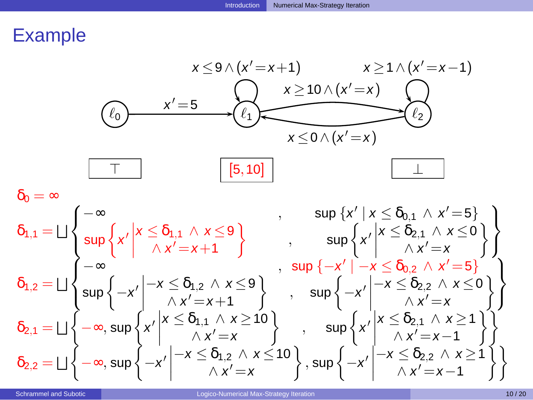

<span id="page-11-0"></span>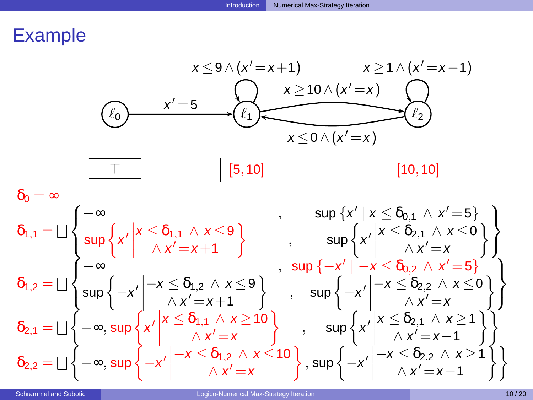

<span id="page-12-0"></span>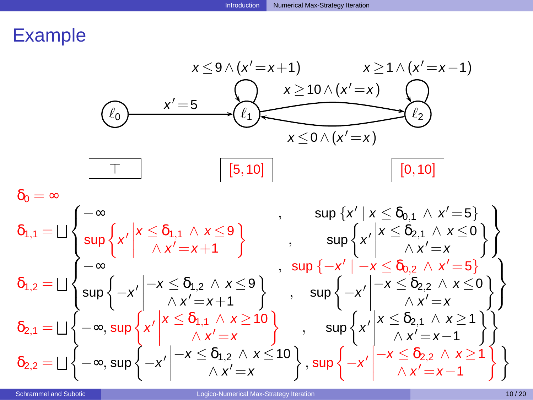

<span id="page-13-0"></span>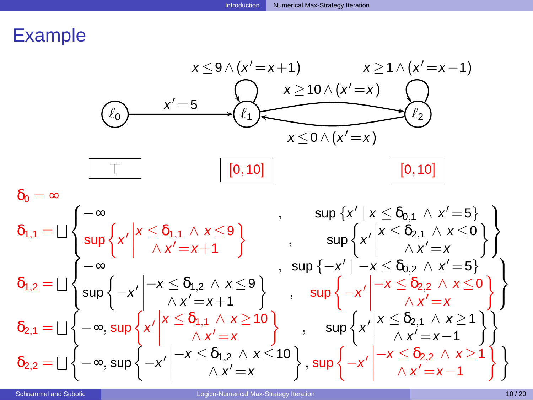

<span id="page-14-0"></span>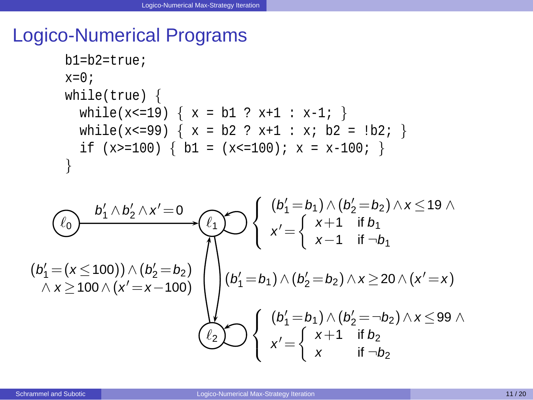### Logico-Numerical Programs

```
b1=b2=true;
x=0;while(true) {
  while(x<=19) { x = b1 ? x+1 : x-1; }
  while(x<=99) { x = b2 ? x+1 : x; b2 = lb2; }
  if (x>=100) { b1 = (x<=100); x = x-100; }
}
```
<span id="page-15-0"></span>
$$
(b'_1 = (x \le 100)) \wedge (b'_2 = b_2) \wedge x \ge 100 \wedge (x' = x - 100) \wedge (b'_1 = b_1) \wedge (b'_2 = b_2) \wedge x \le 19 \wedge \wedge x \ge 100 \wedge (x' = x - 100) \wedge (b'_1 = b_1) \wedge (b'_2 = b_2) \wedge x \ge 20 \wedge (x' = x) \wedge (b'_1 = b_1) \wedge (b'_2 = b_2) \wedge x \ge 20 \wedge (x' = x) \wedge (b'_1 = b_1) \wedge (b'_2 = -b_2) \wedge x \le 99 \wedge \wedge x' = \left\{ \begin{array}{l} (b'_1 = b_1) \wedge (b'_2 = -b_2) \wedge x \le 99 \wedge x' = \left\{ \begin{array}{l} x+1 & \text{if } b_2 \\ x & \text{if } -b_2 \end{array} \right. \end{array}
$$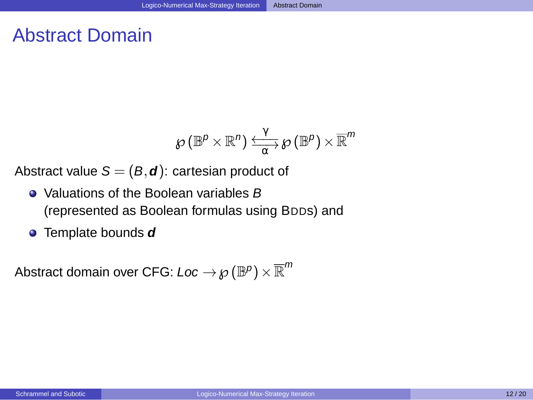## Abstract Domain

<span id="page-16-0"></span>
$$
\mathscr{O}(\mathbb{B}^p\!\times\!\mathbb{R}^n) \xrightarrow[\alpha]{\gamma} \mathscr{O}(\mathbb{B}^p) \times \overline{\mathbb{R}}^m
$$

Abstract value  $S = (B, d)$ : cartesian product of

- Valuations of the Boolean variables B (represented as Boolean formulas using BDDs) and
- Template bounds **d**

Abstract domain over CFG: *Loc*  $\rightarrow \wp(\mathbb{B}^{\rho})\times\overline{\mathbb{R}}^{m}$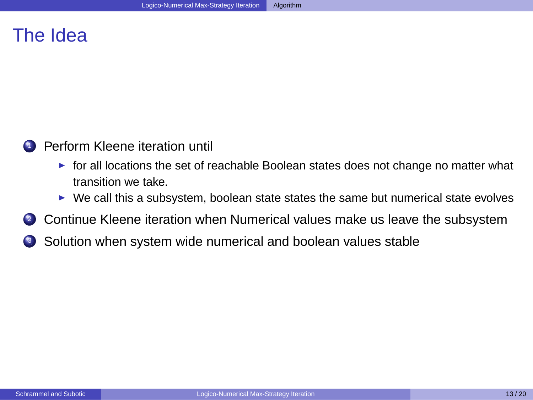# The Idea



- $\triangleright$  for all locations the set of reachable Boolean states does not change no matter what transition we take.
- <span id="page-17-0"></span> $\blacktriangleright$  We call this a subsystem, boolean state states the same but numerical state evolves
- **2** Continue Kleene iteration when Numerical values make us leave the subsystem
- <sup>3</sup> Solution when system wide numerical and boolean values stable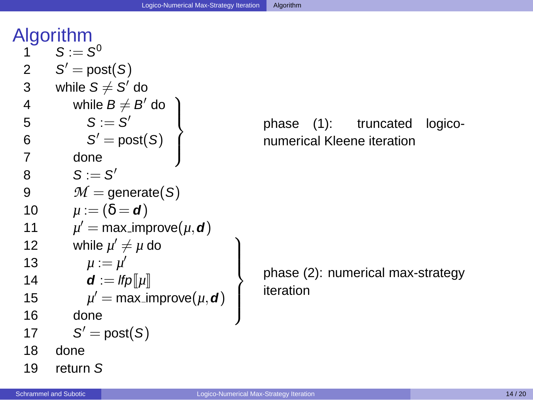|              | Algorithm                                        |
|--------------|--------------------------------------------------|
| 1            | $S := S^0$                                       |
| $\mathbf{2}$ | $S' = \text{post}(S)$                            |
| 3            | while $S \neq S'$ do                             |
| 4            | while $B \neq B'$ do                             |
| 5            | $S := S'$                                        |
| 6            | $S' = \text{post}(S)$                            |
| 7            | done                                             |
| 8            | $S := S'$                                        |
| 9            | $M =$ generate(S)                                |
| 10           | $\mu := (\delta = d)$                            |
| 11           | $\mu' = \max$ -improve $(\mu, d)$                |
| 12           | while $\mu' \neq \mu$ do                         |
| 13           | $\mu := \mu'$                                    |
| 14           | $\boldsymbol{d} := \mathit{lfp} \Vert \mu \Vert$ |
| 15           | $\mu'$ = max_improve( $\mu$ , <b>d</b> )         |
| 16           | done                                             |
| 17           | $S' = \text{post}(S)$                            |
| 18           | done                                             |
| 19           | ؟. ret⊔rn                                        |

phase (1): truncated logiconumerical Kleene iteration

<span id="page-18-0"></span>phase (2): numerical max-strategy iteration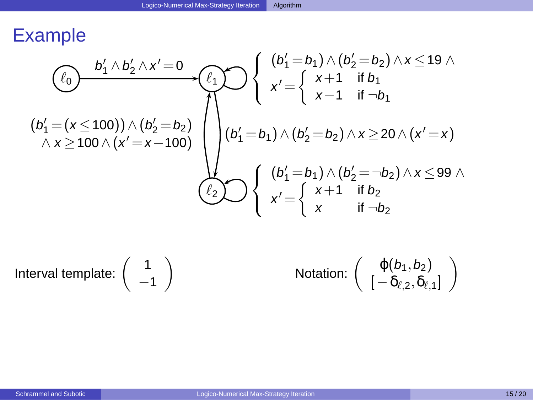$$
(b'_1 = (x \le 100)) \wedge (b'_2 = b_2) \wedge x \ge 100 \wedge (x' = x - 100)
$$
\n
$$
(b'_1 = b_1) \wedge (b'_2 = b_2) \wedge x \le 19 \wedge
$$
\n
$$
(b'_1 = (x \le 100)) \wedge (b'_2 = b_2) \wedge x \ge 100 \wedge (x' = x - 100)
$$
\n
$$
(b'_1 = b_1) \wedge (b'_2 = b_2) \wedge x \ge 20 \wedge (x' = x)
$$
\n
$$
(b'_1 = b_1) \wedge (b'_2 = -b_2) \wedge x \le 99 \wedge
$$
\n
$$
(b'_2 \wedge \cdots \wedge b'_n) \wedge (b'_n = b'_n) \wedge (b'_n = b'_n) \wedge (b'_n = b'_n) \wedge x \le 99 \wedge
$$

Interval template:

$$
\left(\begin{array}{c}1\\-1\end{array}\right)
$$

<span id="page-19-0"></span>Notation: 
$$
\begin{pmatrix} \varphi(b_1, b_2) \\ [-\delta_{\ell, 2}, \delta_{\ell, 1}] \end{pmatrix}
$$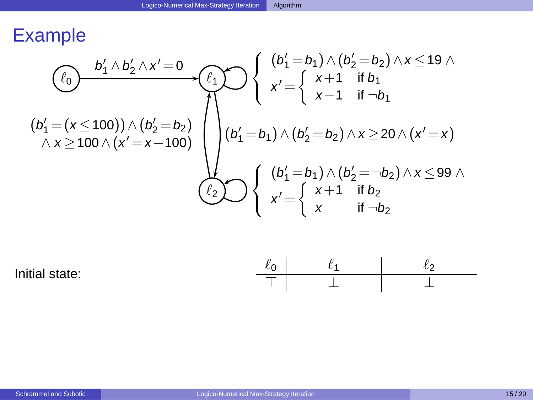$$
\begin{array}{c}\n\begin{pmatrix}\n0 \\
\ell_0\n\end{pmatrix} & \begin{pmatrix}\n0 \\
\ell_1 \end{pmatrix} \wedge b_2' \wedge x' = 0 \\
\begin{pmatrix}\n\ell_1 \\
\ell_2\n\end{pmatrix} & \begin{pmatrix}\n\ell_2 \\
\ell_3\n\end{pmatrix} & \begin{pmatrix}\n\ell_1 \\
\ell_2\n\end{pmatrix} & \begin{pmatrix}\n\ell_2 \\
\ell_3\n\end{pmatrix} & \begin{pmatrix}\n\ell_1 \\
\ell_2\n\end{pmatrix} \\
\begin{pmatrix}\n\ell_1 \\
\ell_2\n\end{pmatrix} & \begin{pmatrix}\n\ell_1 \\
\ell_2\n\end{pmatrix} & \begin{pmatrix}\n\ell_1 \\
\ell_2\n\end{pmatrix} & \begin{pmatrix}\n\ell_1 \\
\ell_2\n\end{pmatrix} & \begin{pmatrix}\n\ell_1 \\
\ell_2\n\end{pmatrix} & \begin{pmatrix}\n\ell_1 \\
\ell_2\n\end{pmatrix} & \begin{pmatrix}\n\ell_1 \\
\ell_2\n\end{pmatrix} & \begin{pmatrix}\n\ell_1 \\
\ell_2\n\end{pmatrix} & \begin{pmatrix}\n\ell_1 \\
\ell_2\n\end{pmatrix} & \begin{pmatrix}\n\ell_1 \\
\ell_2\n\end{pmatrix} & \begin{pmatrix}\n\ell_1 \\
\ell_2\n\end{pmatrix} & \begin{pmatrix}\n\ell_1 \\
\ell_2\n\end{pmatrix} & \begin{pmatrix}\n\ell_1 \\
\ell_2\n\end{pmatrix} & \begin{pmatrix}\n\ell_1 \\
\ell_2\n\end{pmatrix} & \begin{pmatrix}\n\ell_1 \\
\ell_2\n\end{pmatrix} & \begin{pmatrix}\n\ell_1 \\
\ell_2\n\end{pmatrix} & \begin{pmatrix}\n\ell_1 \\
\ell_2\n\end{pmatrix} & \begin{pmatrix}\n\ell_1 \\
\ell_2\n\end{pmatrix} & \begin{pmatrix}\n\ell_1 \\
\ell_2\n\end{pmatrix} & \begin{pmatrix}\n\ell_1 \\
\ell_2\n\end{pmatrix} & \begin{pmatrix}\n\ell_1 \\
\ell_2\n\end{pmatrix} & \begin{pmatrix}\n\ell_1 \\
\ell_2\n\end{pmatrix} & \begin{pmatrix}\n\ell_1 \\
\ell_2\n\end{pmatrix} & \begin{pmatrix}\n\ell_1 \\
\ell_2\n\end{pmatrix} &
$$

<span id="page-20-0"></span>

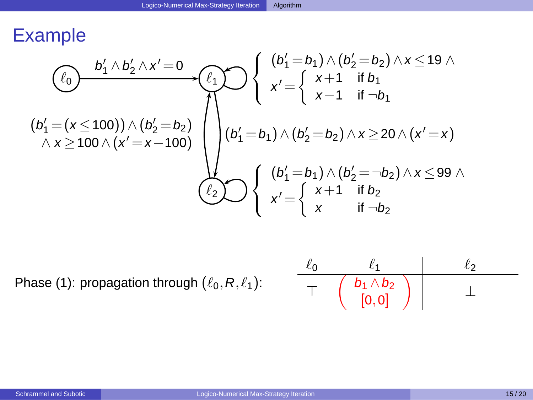$$
\begin{array}{c}\n\textcircled{t_0} & \begin{array}{c}\nb'_1 \wedge b'_2 \wedge x' = 0 \\
\hline\n\end{array} \\
\textcircled{t_1} & \begin{array}{c}\n\end{array} \\
\textcircled{t_2} & \begin{array}{c}\n\end{array} \\
\textcircled{t_1} & \begin{array}{c}\n\end{array} \\
\end{array} \\
\textcircled{t_2} & \begin{array}{c}\n\end{array} \\
\textcircled{t_2} & \begin{array}{c}\n\end{array} \\
\end{array} \\
\textcircled{t_3} & \begin{array}{c}\n\end{array} \\
\textcircled{t_4} & \begin{array}{c}\n\end{array} \\
\textcircled{t_5} & \begin{array}{c}\n\end{array} \\
\textcircled{t_6} & \begin{array}{c}\n\end{array} \\
\textcircled{t_7} & \begin{array}{c}\n\end{array} \\
\textcircled{t_8} & \begin{array}{c}\n\end{array} \\
\textcircled{t_9} & \begin{array}{c}\n\end{array} \\
\textcircled{t_1} & \begin{array}{c}\n\end{array} \\
\textcircled{t_2} & \begin{array}{c}\n\end{array} \\
\textcircled{t_3} & \begin{array}{c}\n\end{array} \\
\textcircled{t_4} & \begin{array}{c}\n\end{array} \\
\textcircled{t_5} & \begin{array}{c}\n\end{array} \\
\textcircled{t_6} & \begin{array}{c}\n\end{array} \\
\textcircled{t_7} & \begin{array}{c}\n\end{array} \\
\textcircled{t_8} & \begin{array}{c}\n\end{array} \\
\textcircled{t_9} & \begin{array}{c}\n\end{array} \\
\textcircled{t_1} & \begin{array}{c}\n\end{array} \\
\textcircled{t_2} & \begin{array}{c}\n\end{array} \\
\textcircled{t_3} & \begin{array} \\
\end{array} \\
\textcircled{t_4} & \begin{array}{c}\n\end{array} \\
\textcircled{t_5} & \begin{array}{c}\n\end{array} \\
\textcircled{t_6} & \begin{array} \\
\
$$

Phase (1): propagation through  $(\ell_0, R, \ell_1)$ :

<span id="page-21-0"></span>
$$
\begin{array}{c|c|c|c}\n\ell_0 & \ell_1 & \ell_2 & \\\hline\n\top & \left( \begin{array}{c} b_1 \wedge b_2 \\ \left[ 0, 0 \right] \end{array} \right) & \bot\n\end{array}
$$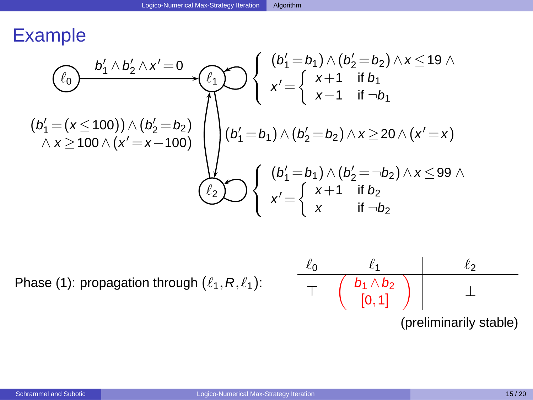$$
\begin{array}{c}\n\textcircled{t_0} & \begin{array}{c}\nb'_1 \wedge b'_2 \wedge x' = 0 \\
\hline\n\end{array} \\
\textcircled{t_1} & \begin{array}{c}\n\end{array} \\
\textcircled{t_2} & \begin{array}{c}\n\end{array} \\
\textcircled{t_1} & \begin{array}{c}\n\end{array} \\
\end{array} \\
\textcircled{t_2} & \begin{array}{c}\n\end{array} \\
\textcircled{t_2} & \begin{array}{c}\n\end{array} \\
\end{array} \\
\textcircled{t_3} & \begin{array}{c}\n\end{array} \\
\textcircled{t_4} & \begin{array}{c}\n\end{array} \\
\textcircled{t_5} & \begin{array}{c}\n\end{array} \\
\textcircled{t_6} & \begin{array}{c}\n\end{array} \\
\textcircled{t_7} & \begin{array}{c}\n\end{array} \\
\textcircled{t_8} & \begin{array}{c}\n\end{array} \\
\textcircled{t_9} & \begin{array}{c}\n\end{array} \\
\textcircled{t_1} & \begin{array}{c}\n\end{array} \\
\textcircled{t_2} & \begin{array}{c}\n\end{array} \\
\textcircled{t_1} & \begin{array}{c}\n\end{array} \\
\textcircled{t_2} & \begin{array}{c}\n\end{array} \\
\textcircled{t_1} & \begin{array}{c}\n\end{array} \\
\textcircled{t_2} & \begin{array}{c}\n\end{array} \\
\textcircled{t_3} & \begin{array}{c}\n\end{array} \\
\textcircled{t_4} & \begin{array}{c}\n\end{array} \\
\textcircled{t_5} & \begin{array}{c}\n\end{array} \\
\textcircled{t_6} & \begin{array}{c}\n\end{array} \\
\textcircled{t_7} & \begin{array}{c}\n\end{array} \\
\textcircled{t_8} & \begin{array} \\
\end{array} \\
\textcircled{t_9} & \begin{array} \\
\end{array} \\
\textcircled{t_1} & \begin{array} \\
\end{array} \\
\textcircled{t_2} & \begin{array} \\
\end{array}
$$

Phase (1): propagation through  $(\ell_1, R, \ell_1)$ :

$$
\begin{array}{c|c|c}\n\ell_0 & \ell_1 & \ell_2 \\
\hline\n\end{array}
$$
\n
$$
\begin{array}{c|c|c}\n\hline\n\ell_1 & \ell_2 & \ell_1 \\
\hline\n\end{array}
$$
\n
$$
\begin{array}{c|c}\n\hline\n\ell_1 \wedge b_2 & \ell_2 \\
\hline\n\end{array}
$$
\n
$$
\begin{array}{c|c}\n\hline\n\ell_1 \wedge b_1 & \ell_1 \\
\hline\n\end{array}
$$

<span id="page-22-0"></span>(preliminarily stable)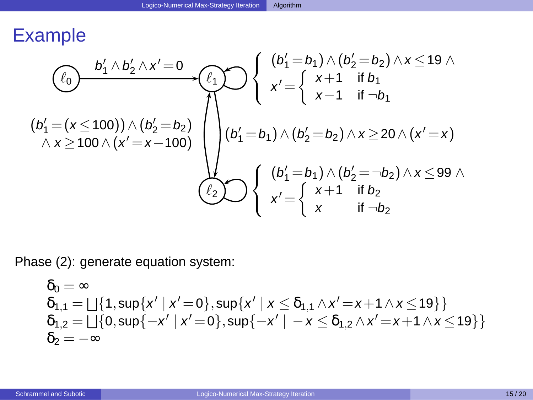$$
(b'_1 = (x \le 100)) \wedge (b'_2 = b_2) \wedge x \ge 100 \wedge (x' = x - 100) \wedge (b'_1 = b_1) \wedge (b'_2 = b_2) \wedge x \ge 100 \wedge (x' = x - 100) \wedge (b'_1 = b_1) \wedge (b'_2 = b_2) \wedge x \ge 20 \wedge (x' = x) \wedge x \ge 99 \wedge 100 \wedge (b'_1 = b_1) \wedge (b'_2 = b_2) \wedge x \ge 20 \wedge (x' = x) \wedge x \ge 99 \wedge 100 \wedge x' = \begin{cases} (b'_1 = b_1) \wedge (b'_2 = -b_2) \wedge x \le 99 \wedge 100 \x' = \begin{cases} x+1 & \text{if } b_2 \\ x & \text{if } -b_2 \end{cases} \end{cases}
$$

Phase (2): generate equation system:

<span id="page-23-0"></span>
$$
\begin{array}{l} \delta_0 = \infty \\ \delta_{1,1} = \bigsqcup \{ 1, \sup \{ x' \mid x' = 0 \}, \sup \{ x' \mid x \leq \delta_{1,1} \wedge x' = x + 1 \wedge x \leq 19 \} \} \\ \delta_{1,2} = \bigsqcup \{ 0, \sup \{ -x' \mid x' = 0 \}, \sup \{ -x' \mid -x \leq \delta_{1,2} \wedge x' = x + 1 \wedge x \leq 19 \} \} \\ \delta_2 = -\infty \end{array}
$$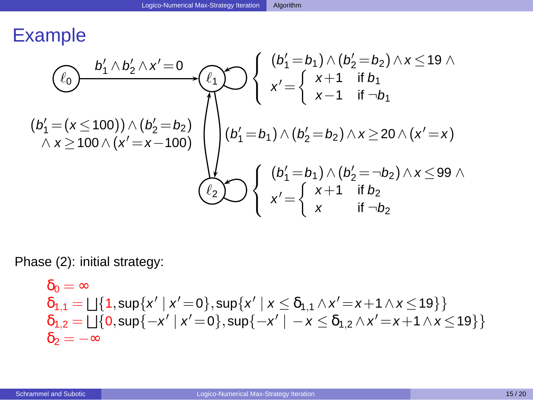$$
\begin{array}{c}\n\textcircled{t_0} & \begin{array}{c}\nb'_1 \wedge b'_2 \wedge x' = 0 \\
\hline\n\end{array} \\
\textcircled{t_1} & \begin{array}{c}\n\end{array} \\
\textcircled{t_2} & \begin{array}{c}\n\end{array} \\
\textcircled{t_1} & \begin{array}{c}\n\end{array} \\
\end{array} \\
\textcircled{t_2} & \begin{array}{c}\n\end{array} \\
\textcircled{t_2} & \begin{array}{c}\n\end{array} \\
\end{array} \\
\textcircled{t_3} & \begin{array}{c}\n\end{array} \\
\textcircled{t_4} & \begin{array}{c}\n\end{array} \\
\textcircled{t_5} & \begin{array}{c}\n\end{array} \\
\textcircled{t_6} & \begin{array}{c}\n\end{array} \\
\textcircled{t_7} & \begin{array}{c}\n\end{array} \\
\textcircled{t_8} & \begin{array}{c}\n\end{array} \\
\textcircled{t_9} & \begin{array}{c}\n\end{array} \\
\textcircled{t_1} & \begin{array}{c}\n\end{array} \\
\textcircled{t_2} & \begin{array}{c}\n\end{array} \\
\textcircled{t_3} & \begin{array}{c}\n\end{array} \\
\textcircled{t_4} & \begin{array}{c}\n\end{array} \\
\textcircled{t_5} & \begin{array}{c}\n\end{array} \\
\textcircled{t_6} & \begin{array}{c}\n\end{array} \\
\textcircled{t_7} & \begin{array}{c}\n\end{array} \\
\textcircled{t_8} & \begin{array}{c}\n\end{array} \\
\textcircled{t_9} & \begin{array}{c}\n\end{array} \\
\textcircled{t_1} & \begin{array}{c}\n\end{array} \\
\textcircled{t_2} & \begin{array}{c}\n\end{array} \\
\textcircled{t_3} & \begin{array} \\
\end{array} \\
\textcircled{t_4} & \begin{array}{c}\n\end{array} \\
\textcircled{t_5} & \begin{array}{c}\n\end{array} \\
\textcircled{t_6} & \begin{array} \\
\
$$

Phase (2): initial strategy:

<span id="page-24-0"></span>
$$
\begin{array}{l} \delta_0 = \infty \\ \delta_{1,1} = \bigsqcup \{ 1, \sup \{ x' \mid x' = 0 \}, \sup \{ x' \mid x \leq \delta_{1,1} \wedge x' = x + 1 \wedge x \leq 19 \} \} \\ \delta_{1,2} = \bigsqcup \{ 0, \sup \{ -x' \mid x' = 0 \}, \sup \{ -x' \mid -x \leq \delta_{1,2} \wedge x' = x + 1 \wedge x \leq 19 \} \} \\ \delta_2 = -\infty \end{array}
$$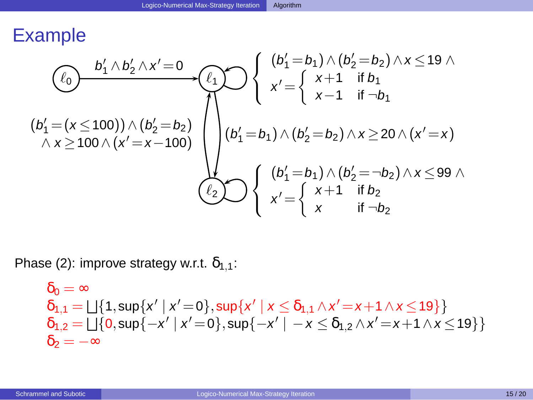$$
(b'_1 = (x \le 100)) \wedge (b'_2 = b_2) \wedge x \ge 100 \wedge (x' = x - 100) \wedge (b'_1 = b_1) \wedge (b'_2 = b_2) \wedge x \ge 100 \wedge (x' = x - 100) \wedge (b'_1 = b_1) \wedge (b'_2 = b_2) \wedge x \ge 20 \wedge (x' = x) \wedge x \ge 99 \wedge 100 \wedge (b'_1 = b_1) \wedge (b'_2 = b_2) \wedge x \ge 20 \wedge (x' = x) \wedge x \ge 99 \wedge 100 \wedge x' = \begin{cases} (b'_1 = b_1) \wedge (b'_2 = -b_2) \wedge x \le 99 \wedge 100 \x' = \begin{cases} x+1 & \text{if } b_2 \\ x & \text{if } -b_2 \end{cases} \end{cases}
$$

Phase (2): improve strategy w.r.t.  $\delta_{1,1}$ :

<span id="page-25-0"></span>
$$
\begin{array}{l} \delta_0 = \infty \\ \delta_{1,1} = \bigsqcup \{ 1, \sup \{ x' \mid x' = 0 \}, \sup \{ x' \mid x \leq \delta_{1,1} \wedge x' = x + 1 \wedge x \leq 19 \} \} \\ \delta_{1,2} = \bigsqcup \{ 0, \sup \{ -x' \mid x' = 0 \}, \sup \{ -x' \mid -x \leq \delta_{1,2} \wedge x' = x + 1 \wedge x \leq 19 \} \} \\ \delta_2 = -\infty \end{array}
$$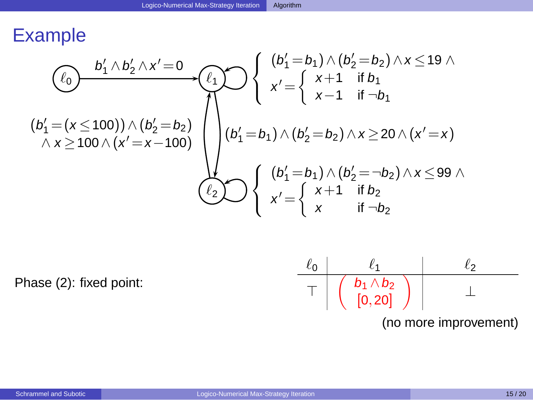$$
\begin{array}{c}\n\begin{pmatrix}\n0 \\
\ell_0\n\end{pmatrix} & \begin{pmatrix}\n0 \\
\ell_1 \end{pmatrix} & \begin{pmatrix}\n0 \\
\ell_2 \end{pmatrix} & \begin{pmatrix}\n0 \\
\ell_1 \end{pmatrix} & \begin{pmatrix}\n0 \\
\ell_2 \end{pmatrix} & \begin{pmatrix}\n0 \\
\ell_1 \end{pmatrix} & \begin{pmatrix}\n0 \\
\ell_2 \end{pmatrix} & \begin{pmatrix}\n0 \\
\ell_1 \end{pmatrix} & \begin{pmatrix}\n0 \\
\ell_2 \end{pmatrix} & \begin{pmatrix}\n0 \\
\ell_1 \end{pmatrix} & \begin{pmatrix}\n0 \\
\ell_1 \end{pmatrix} & \begin{pmatrix}\n0 \\
\ell_1 \end{pmatrix} & \begin{pmatrix}\n0 \\
\ell_1 \end{pmatrix} & \begin{pmatrix}\n0 \\
\ell_1 \end{pmatrix} & \begin{pmatrix}\n0 \\
\ell_2 \end{pmatrix} & \begin{pmatrix}\n0 \\
\ell_2 \end{pmatrix} & \begin{pmatrix}\n0 \\
\ell_2 \end{pmatrix} & \begin{pmatrix}\n0 \\
\ell_1 \end{pmatrix} & \begin{pmatrix}\n0 \\
\ell_2 \end{pmatrix} & \begin{pmatrix}\n0 \\
\ell_1 \end{pmatrix} & \begin{pmatrix}\n0 \\
\ell_2 \end{pmatrix} & \begin{pmatrix}\n0 \\
\ell_1 \end{pmatrix} & \begin{pmatrix}\n0 \\
\ell_2 \end{pmatrix} & \begin{pmatrix}\n0 \\
\ell_1 \end{pmatrix} & \begin{pmatrix}\n0 \\
\ell_2 \end{pmatrix} & \begin{pmatrix}\n0 \\
\ell_1 \end{pmatrix} & \begin{pmatrix}\n0 \\
\ell_2 \end{pmatrix} & \begin{pmatrix}\n0 \\
\ell_1 \end{pmatrix} & \begin{pmatrix}\n0 \\
\ell_2 \end{pmatrix} & \begin{pmatrix}\n0 \\
\ell_1 \end{pmatrix} & \begin{pmatrix}\n0 \\
\ell_2 \end{pmatrix} & \begin{pmatrix}\n0 \\
\ell_1 \end{pmatrix} & \begin{pmatrix}\n0 \\
\ell_2 \end{pmatrix} & \begin{pmatrix}\n0 \\
\ell_1 \end{pmatrix} & \begin{pmatrix}\n0 \\
\ell_2 \end{pmatrix} & \begin{pmatrix}\n0 \\
\ell_1 \end{pmatrix} & \begin{pmatrix}\n0 \\
\ell_2 \end{pmatrix} & \begin{pmatrix}\n0 \\
\ell
$$

Phase (2): fixed point:

$$
\begin{array}{c|c|c|c}\n\ell_0 & \ell_1 & \ell_2 \\
\hline\n\top & \left( \begin{array}{c|c} b_1 \wedge b_2 \\ \hline [0,20] \end{array} \right) & \bot\n\end{array}
$$

<span id="page-26-0"></span>(no more improvement)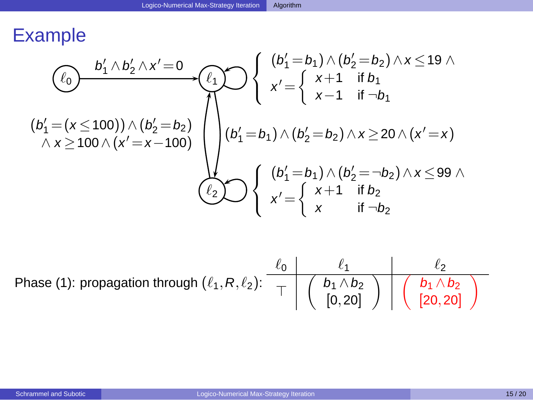$$
\begin{array}{c}\n\textcircled{t_0} & b_1' \wedge b_2' \wedge x' = 0 \\
\textcircled{t_1} & \textcircled{t_2} & \textcircled{t_3} \\
\textcircled{t_4} & \textcircled{t_5} & \textcircled{t_6} \\
\textcircled{t_7} & \textcircled{t_7} & \textcircled{t_8} \\
\textcircled{t_8} & \textcircled{t_9} & \textcircled{t_9} \\
\textcircled{t_1} & \textcircled{t_1} & \textcircled{t_1} \\
\textcircled{t_1} & \textcircled{t_2} & \textcircled{t_1} \\
\textcircled{t_1} & \textcircled{t_2} & \textcircled{t_2} & \textcircled{t_3} \\
\textcircled{t_1} & \textcircled{t_1} & \textcircled{t_2} & \textcircled{t_3} \\
\textcircled{t_2} & \textcircled{t_1} & \textcircled{t_1} & \textcircled{t_2} & \textcircled{t_3} \\
\textcircled{t_2} & \textcircled{t_3} & \textcircled{t_4} & \textcircled{t_7} & \textcircled{t_8} \\
\textcircled{t_7} & \textcircled{t_8} & \textcircled{t_7} & \textcircled{t_8} & \textcircled{t_9} \\
\textcircled{t_9} & \textcircled{t_8} & \textcircled{t_9} & \textcircled{t_9} & \textcircled{t_1} & \textcircled{t_1} & \textcircled{t_2} \\
\textcircled{t_1} & \textcircled{t_1} & \textcircled{t_2} & \textcircled{t_3} & \textcircled{t_4} & \textcircled{t_5} \\
\textcircled{t_1} & \textcircled{t_1} & \textcircled{t_2} & \textcircled{t_3} & \textcircled{t_4} & \textcircled{t_6} \\
\textcircled{t_1} & \textcircled{t_1} & \textcircled
$$

<span id="page-27-0"></span>Phase (1): propagation through  $(\ell_1, R, \ell_2)$ :  $\ell_0$   $\ell_1$   $\ell_2$  $\top$   $\begin{pmatrix} b_1 \wedge b_2 \\ b_1 \wedge b_2 \end{pmatrix}$  $[0, 20]$  $\bigwedge$   $\bigwedge$   $b_1 \wedge b_2$ [20,20]  $\overline{\phantom{0}}$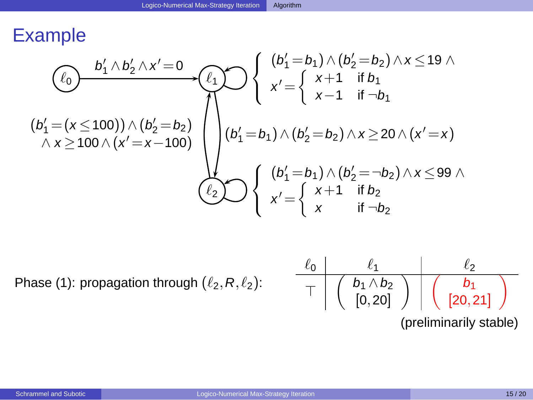$$
\begin{array}{c}\n\textcircled{t_0} & \begin{array}{c}\nb'_1 \wedge b'_2 \wedge x' = 0 \\
\hline\n\end{array} \\
\textcircled{t_1} & \begin{array}{c}\n\end{array} \\
\textcircled{t_2} & \begin{array}{c}\n\end{array} \\
\textcircled{t_1} & \begin{array}{c}\n\end{array} \\
\end{array} \\
\textcircled{t_2} & \begin{array}{c}\n\end{array} \\
\textcircled{t_2} & \begin{array}{c}\n\end{array} \\
\end{array} \\
\textcircled{t_3} & \begin{array}{c}\n\end{array} \\
\textcircled{t_4} & \begin{array}{c}\n\end{array} \\
\textcircled{t_5} & \begin{array}{c}\n\end{array} \\
\textcircled{t_6} & \begin{array}{c}\n\end{array} \\
\textcircled{t_7} & \begin{array}{c}\n\end{array} \\
\textcircled{t_8} & \begin{array}{c}\n\end{array} \\
\textcircled{t_9} & \begin{array}{c}\n\end{array} \\
\textcircled{t_1} & \begin{array}{c}\n\end{array} \\
\textcircled{t_2} & \begin{array}{c}\n\end{array} \\
\textcircled{t_3} & \begin{array}{c}\n\end{array} \\
\textcircled{t_4} & \begin{array}{c}\n\end{array} \\
\textcircled{t_5} & \begin{array}{c}\n\end{array} \\
\textcircled{t_6} & \begin{array}{c}\n\end{array} \\
\textcircled{t_7} & \begin{array}{c}\n\end{array} \\
\textcircled{t_8} & \begin{array}{c}\n\end{array} \\
\textcircled{t_9} & \begin{array}{c}\n\end{array} \\
\textcircled{t_1} & \begin{array}{c}\n\end{array} \\
\textcircled{t_2} & \begin{array}{c}\n\end{array} \\
\textcircled{t_3} & \begin{array} \\
\end{array} \\
\textcircled{t_4} & \begin{array}{c}\n\end{array} \\
\textcircled{t_7} & \begin{array}{c}\n\end{array} \\
\textcircled{t_8} & \begin{array} \\
\
$$

Phase (1): propagation through  $(\ell_2, R, \ell_2)$ :

<span id="page-28-0"></span>

| $\ell_0$ | $\ell_1$                                                 | $\ell_2$                                        |
|----------|----------------------------------------------------------|-------------------------------------------------|
| T        | $\begin{pmatrix} b_1 \land b_2 \\ [0, 20] \end{pmatrix}$ | $\begin{pmatrix} b_1 \\ [20, 21] \end{pmatrix}$ |

\n(preliminarily stable)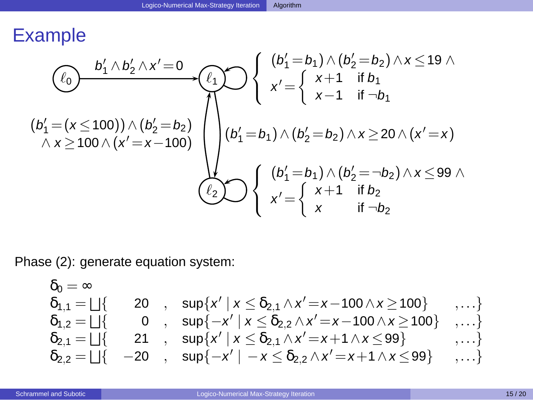$$
\begin{array}{c}\n\textcircled{t_0} & \begin{array}{c}\nb'_1 \wedge b'_2 \wedge x' = 0 \\
\hline\n\end{array} \\
\textcircled{t_1} & \begin{array}{c}\n\end{array} \\
\textcircled{t_2} & \begin{array}{c}\n\end{array} \\
\textcircled{t_1} & \begin{array}{c}\n\end{array} \\
\end{array} \\
\textcircled{t_2} & \begin{array}{c}\n\end{array} \\
\textcircled{t_2} & \begin{array}{c}\n\end{array} \\
\end{array} \\
\textcircled{t_3} & \begin{array}{c}\n\end{array} \\
\textcircled{t_4} & \begin{array}{c}\n\end{array} \\
\textcircled{t_5} & \begin{array}{c}\n\end{array} \\
\textcircled{t_6} & \begin{array}{c}\n\end{array} \\
\textcircled{t_7} & \begin{array}{c}\n\end{array} \\
\textcircled{t_8} & \begin{array}{c}\n\end{array} \\
\textcircled{t_9} & \begin{array}{c}\n\end{array} \\
\textcircled{t_1} & \begin{array}{c}\n\end{array} \\
\textcircled{t_2} & \begin{array}{c}\n\end{array} \\
\textcircled{t_3} & \begin{array}{c}\n\end{array} \\
\textcircled{t_4} & \begin{array}{c}\n\end{array} \\
\textcircled{t_5} & \begin{array}{c}\n\end{array} \\
\textcircled{t_6} & \begin{array}{c}\n\end{array} \\
\textcircled{t_7} & \begin{array}{c}\n\end{array} \\
\textcircled{t_8} & \begin{array}{c}\n\end{array} \\
\textcircled{t_9} & \begin{array}{c}\n\end{array} \\
\textcircled{t_1} & \begin{array}{c}\n\end{array} \\
\textcircled{t_2} & \begin{array}{c}\n\end{array} \\
\textcircled{t_3} & \begin{array} \\
\end{array} \\
\textcircled{t_4} & \begin{array}{c}\n\end{array} \\
\textcircled{t_5} & \begin{array}{c}\n\end{array} \\
\textcircled{t_6} & \begin{array} \\
\
$$

Phase (2): generate equation system:

<span id="page-29-0"></span>
$$
\begin{array}{llll} \delta_0=\infty & & \\ \delta_{1,1}=\bigsqcup \{ & 20 \ , \quad \sup \{x' \ | \ x \leq \delta_{2,1} \wedge x'=x-100 \wedge x \geq 100 \} \quad \ \, , \dots \} \\ \delta_{1,2}=\bigsqcup \{ & 0 \ , \quad \sup \{ -x' \ | \ x \leq \delta_{2,2} \wedge x'=x-100 \wedge x \geq 100 \} \quad , \dots \} \\ \delta_{2,1}=\bigsqcup \{ & 21 \ , \quad \sup \{x' \ | \ x \leq \delta_{2,1} \wedge x'=x+1 \wedge x \leq 99 \} \quad \ \ , \dots \} \\ \delta_{2,2}=\bigsqcup \{ & -20 \ , \quad \sup \{ -x' \ | \ -x \leq \delta_{2,2} \wedge x'=x+1 \wedge x \leq 99 \} \quad \ \ , \dots \} \end{array}
$$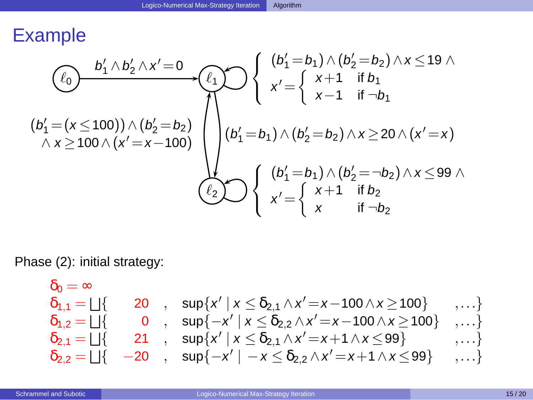$$
(b'_1 = (x \le 100)) \wedge (b'_2 = b_2) \wedge x \ge 100 \wedge (x' = x - 100) \wedge (b'_1 = b_1) \wedge (b'_2 = b_2) \wedge x \ge 100 \wedge (x' = x - 100) \wedge (b'_1 = b_1) \wedge (b'_2 = b_2) \wedge x \ge 20 \wedge (x' = x) \wedge x \ge 99 \wedge 100 \wedge (b'_1 = b_1) \wedge (b'_2 = b_2) \wedge x \ge 20 \wedge (x' = x) \wedge x \ge 99 \wedge 100 \wedge x' = \begin{cases} (b'_1 = b_1) \wedge (b'_2 = -b_2) \wedge x \le 99 \wedge 100 \x' = \begin{cases} x+1 & \text{if } b_2 \\ x & \text{if } -b_2 \end{cases} \end{cases}
$$

Phase (2): initial strategy:

<span id="page-30-0"></span>
$$
\begin{array}{llll} \delta_0=\infty & & \\ \delta_{1,1}=\bigsqcup \{ & 20 \ , \quad \sup \{x' \ | \ x \leq \delta_{2,1} \wedge x'=x-100 \wedge x \geq 100 \} \quad \ \, , \dots \} \\ \delta_{1,2}=\bigsqcup \{ & 0 \ , \quad \sup \{-x' \ | \ x \leq \delta_{2,2} \wedge x'=x-100 \wedge x \geq 100 \} \quad , \dots \} \\ \delta_{2,1}=\bigsqcup \{ & 21 \ , \quad \sup \{x' \ | \ x \leq \delta_{2,1} \wedge x'=x+1 \wedge x \leq 99 \} \quad \ \, , \dots \} \\ \delta_{2,2}=\bigsqcup \{ & -20 \ , \quad \sup \{-x' \ | \ -x \leq \delta_{2,2} \wedge x'=x+1 \wedge x \leq 99 \} \quad \ \, , \dots \} \end{array}
$$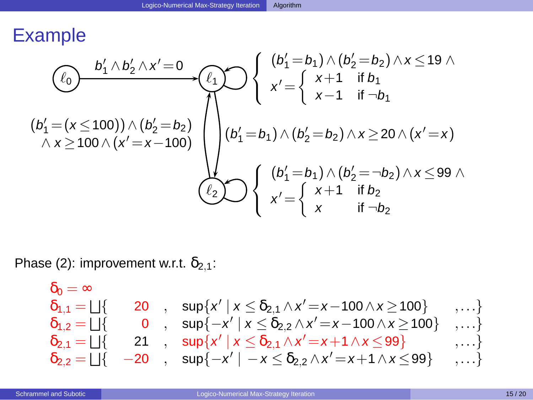$$
(b'_1 = (x \le 100)) \wedge (b'_2 = b_2) \wedge x \ge 100 \wedge (x' = x - 100) \wedge (b'_1 = b_1) \wedge (b'_2 = b_2) \wedge x \le 19 \wedge \wedge x \ge 100 \wedge (x' = x - 100) \wedge (b'_1 = b_1) \wedge (b'_2 = b_2) \wedge x \ge 20 \wedge (x' = x) \wedge (b'_1 = b_1) \wedge (b'_2 = b_2) \wedge x \ge 20 \wedge (x' = x) \wedge (b'_1 = b_1) \wedge (b'_2 = -b_2) \wedge x \le 99 \wedge \wedge x' = \left\{ \begin{array}{l} (b'_1 = b_1) \wedge (b'_2 = -b_2) \wedge x \le 99 \wedge x' = \left\{ \begin{array}{l} x+1 & \text{if } b_2 \\ x & \text{if } -b_2 \end{array} \right. \end{array}
$$

Phase (2): improvement w.r.t.  $\delta_{2,1}$ :

<span id="page-31-0"></span>
$$
\begin{array}{llll} \delta_0=\infty & & \\ \delta_{1,1}=\bigsqcup \{ & 20 \ , \quad \sup \{x' \ | \ x \leq \delta_{2,1} \wedge x'=x-100 \wedge x \geq 100 \} \quad \ \, , \dots \} \\ \delta_{1,2}=\bigsqcup \{ & 0 \ , \quad \sup \{ -x' \ | \ x \leq \delta_{2,2} \wedge x'=x-100 \wedge x \geq 100 \} \quad , \dots \} \\ \delta_{2,1}=\bigsqcup \{ & 21 \ , \quad \sup \{ x' \ | \ x \leq \delta_{2,1} \wedge x'=x+1 \wedge x \leq 99 \} \quad \ \ , \dots \} \\ \delta_{2,2}=\bigsqcup \{ & -20 \ , \quad \sup \{ -x' \ | \ -x \leq \delta_{2,2} \wedge x'=x+1 \wedge x \leq 99 \} \quad \ \ , \dots \} \end{array}
$$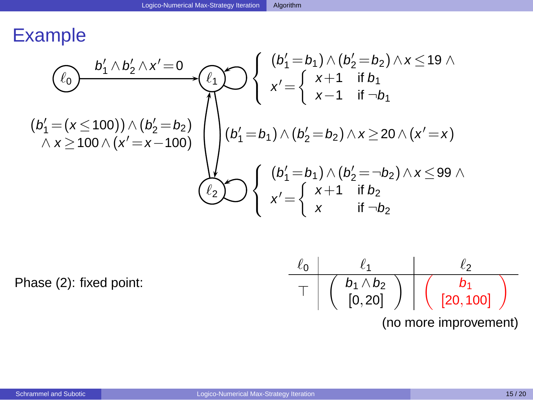$$
\begin{array}{c}\n\begin{pmatrix}\n0 \\
\ell_0\n\end{pmatrix} & \begin{pmatrix}\n0 \\
\ell_1 \end{pmatrix} & \begin{pmatrix}\n0 \\
\ell_2 \end{pmatrix} & \begin{pmatrix}\n0 \\
\ell_1 \end{pmatrix} & \begin{pmatrix}\n0 \\
\ell_2 \end{pmatrix} & \begin{pmatrix}\n0 \\
\ell_1 \end{pmatrix} & \begin{pmatrix}\n0 \\
\ell_2 \end{pmatrix} & \begin{pmatrix}\n0 \\
\ell_1 \end{pmatrix} & \begin{pmatrix}\n0 \\
\ell_2 \end{pmatrix} & \begin{pmatrix}\n0 \\
\ell_1 \end{pmatrix} & \begin{pmatrix}\n0 \\
\ell_1 \end{pmatrix} & \begin{pmatrix}\n0 \\
\ell_1 \end{pmatrix} & \begin{pmatrix}\n0 \\
\ell_1 \end{pmatrix} & \begin{pmatrix}\n0 \\
\ell_1 \end{pmatrix} & \begin{pmatrix}\n0 \\
\ell_1 \end{pmatrix} & \begin{pmatrix}\n0 \\
\ell_2 \end{pmatrix} & \begin{pmatrix}\n0 \\
\ell_2 \end{pmatrix} & \begin{pmatrix}\n0 \\
\ell_2 \end{pmatrix} & \begin{pmatrix}\n0 \\
\ell_1 \end{pmatrix} & \begin{pmatrix}\n0 \\
\ell_2 \end{pmatrix} & \begin{pmatrix}\n0 \\
\ell_1 \end{pmatrix} & \begin{pmatrix}\n0 \\
\ell_2 \end{pmatrix} & \begin{pmatrix}\n0 \\
\ell_1 \end{pmatrix} & \begin{pmatrix}\n0 \\
\ell_2 \end{pmatrix} & \begin{pmatrix}\n0 \\
\ell_1 \end{pmatrix} & \begin{pmatrix}\n0 \\
\ell_2 \end{pmatrix} & \begin{pmatrix}\n0 \\
\ell_1 \end{pmatrix} & \begin{pmatrix}\n0 \\
\ell_1 \end{pmatrix} & \begin{pmatrix}\n0 \\
\ell_1 \end{pmatrix} & \begin{pmatrix}\n0 \\
\ell_1 \end{pmatrix} & \begin{pmatrix}\n0 \\
\ell_1 \end{pmatrix} & \begin{pmatrix}\n0 \\
\ell_1 \end{pmatrix} & \begin{pmatrix}\n0 \\
\ell_1 \end{pmatrix} & \begin{pmatrix}\n0 \\
\ell_1 \end{pmatrix} & \begin{pmatrix}\n0 \\
\ell_1 \end{pmatrix} & \begin{pmatrix}\n0 \\
\ell_1 \end{pmatrix} & \begin{pmatrix}\n0 \\
\ell_1 \end{pmatrix} & \begin{pmatrix}\n0 \\
\ell
$$

Phase (2): fixed point:

<span id="page-32-0"></span>

| $\ell_0$              | $\ell_1$                                                 | $\ell_2$                                         |
|-----------------------|----------------------------------------------------------|--------------------------------------------------|
| T                     | $\begin{pmatrix} b_1 \land b_2 \\ [0, 20] \end{pmatrix}$ | $\begin{pmatrix} b_1 \\ [20, 100] \end{pmatrix}$ |
| (no more improvement) |                                                          |                                                  |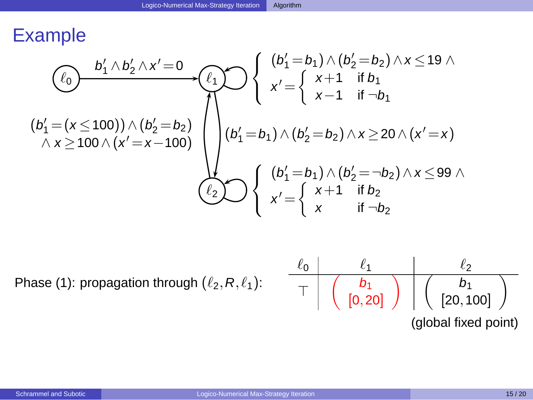$$
\begin{array}{c}\n\textcircled{t_0} & b_1' \wedge b_2' \wedge x' = 0 \\
\textcircled{t_1} & \textcircled{t_2} & \textcircled{t_3} \\
\textcircled{t_4} & \textcircled{t_5} & \textcircled{t_6} \\
\textcircled{t_7} & \textcircled{t_7} & \textcircled{t_8} \\
\textcircled{t_8} & \textcircled{t_9} & \textcircled{t_9} \\
\textcircled{t_1} & \textcircled{t_1} & \textcircled{t_1} \\
\textcircled{t_1} & \textcircled{t_2} & \textcircled{t_3} \\
\textcircled{t_4} & \textcircled{t_7} & \textcircled{t_7} & \textcircled{t_8} \\
\textcircled{t_7} & \textcircled{t_8} & \textcircled{t_9} & \textcircled{t_9} \\
\textcircled{t_8} & \textcircled{t_9} & \textcircled{t_9} & \textcircled{t_9} & \textcircled{t_9} \\
\textcircled{t_9} & \textcircled{t_8} & \textcircled{t_9} & \textcircled{t_9} & \textcircled{t_9} \\
\textcircled{t_9} & \textcircled{t_9} & \textcircled{t_9} & \textcircled{t_9} & \textcircled{t_9} \\
\textcircled{t_9} & \textcircled{t_9} & \textcircled{t_9} & \textcircled{t_9} & \textcircled{t_9} \\
\textcircled{t_9} & \textcircled{t_9} & \textcircled{t_9} & \textcircled{t_9} & \textcircled{t_9} & \textcircled{t_9} \\
\textcircled{t_9} & \textcircled{t_9} & \textcircled{t_9} & \textcircled{t_9} & \textcircled{t_9} & \textcircled{t_9} \\
\textcircled{t_9} & \textcircled{t_9} & \textcircled{t_9} & \textcircled{t_9} & \textcircled
$$

Phase (1): propagation through  $(\ell_2, R, \ell_1)$ :

<span id="page-33-0"></span>

| $\ell_0$             | $\ell_1$                                                  | $\ell_2$                                                    |
|----------------------|-----------------------------------------------------------|-------------------------------------------------------------|
| T                    | \n $\begin{pmatrix}\n b_1 \\  [0, 20]\n \end{pmatrix}$ \n | \n $\begin{pmatrix}\n b_1 \\  [20, 100]\n \end{pmatrix}$ \n |
| (global fixed point) |                                                           |                                                             |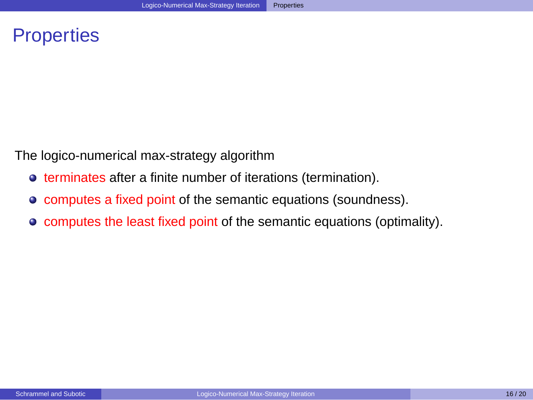# **Properties**

The logico-numerical max-strategy algorithm

- $\bullet$  terminates after a finite number of iterations (termination).
- computes a fixed point of the semantic equations (soundness).
- <span id="page-34-0"></span>computes the least fixed point of the semantic equations (optimality).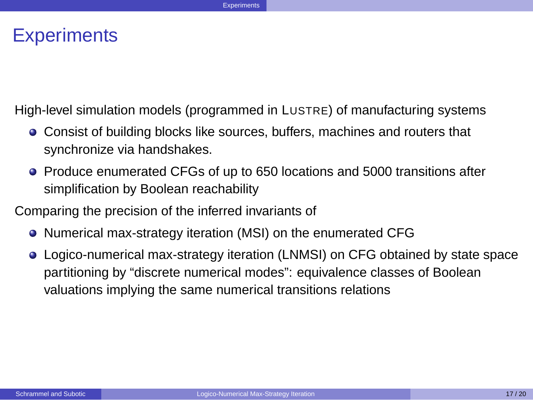#### **Experiments**

High-level simulation models (programmed in LUSTRE) of manufacturing systems

- Consist of building blocks like sources, buffers, machines and routers that synchronize via handshakes.
- Produce enumerated CFGs of up to 650 locations and 5000 transitions after simplification by Boolean reachability
- <span id="page-35-0"></span>Comparing the precision of the inferred invariants of
	- Numerical max-strategy iteration (MSI) on the enumerated CFG
	- Logico-numerical max-strategy iteration (LNMSI) on CFG obtained by state space partitioning by "discrete numerical modes": equivalence classes of Boolean valuations implying the same numerical transitions relations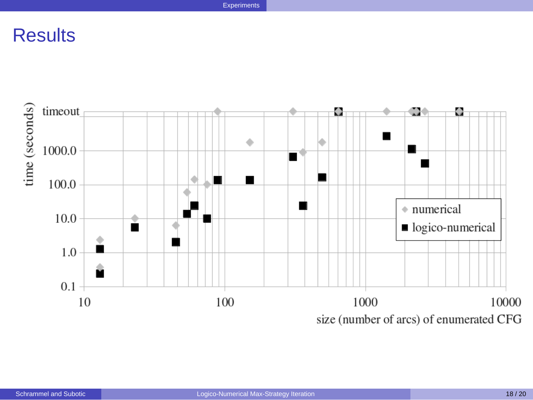<span id="page-36-0"></span>**[Experiments](#page-36-0)** 

# **Results**

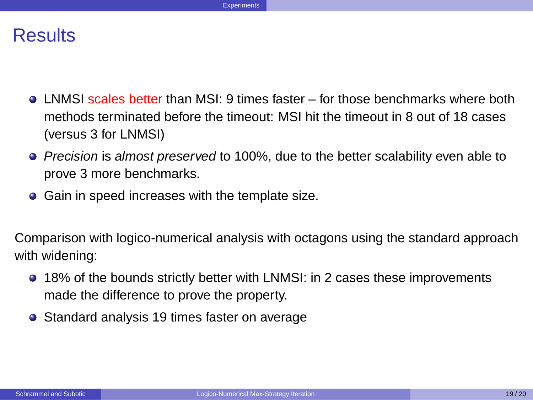#### **Results**

- LNMSI scales better than MSI: 9 times faster for those benchmarks where both methods terminated before the timeout: MSI hit the timeout in 8 out of 18 cases (versus 3 for LNMSI)
- **Precision is almost preserved to 100%, due to the better scalability even able to** prove 3 more benchmarks.
- **•** Gain in speed increases with the template size.

Comparison with logico-numerical analysis with octagons using the standard approach with widening:

- 18% of the bounds strictly better with LNMSI: in 2 cases these improvements made the difference to prove the property.
- <span id="page-37-0"></span>Standard analysis 19 times faster on average